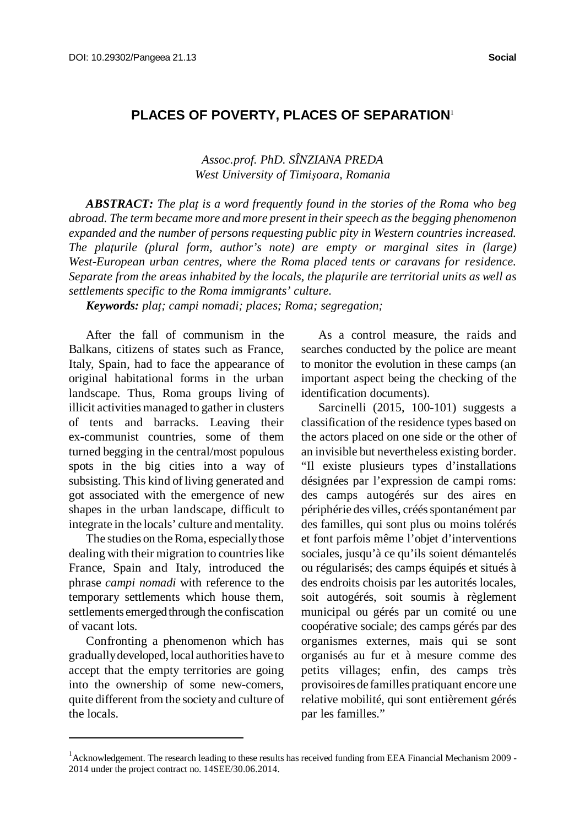## **PLACES OF POVERTY, PLACES OF SEPARATION**<sup>1</sup>

*Assoc.prof. PhD. SÎNZIANA PREDA West University of Timişoara, Romania*

*ABSTRACT: The plaţ is a word frequently found in the stories of the Roma who beg abroad. The term became more and more present in theirspeech asthe begging phenomenon expanded and the number of persons requesting public pity in Western countries increased. The plaţurile (plural form, author's note) are empty or marginal sites in (large) West-European urban centres, where the Roma placed tents or caravans for residence. Separate from the areas inhabited by the locals, the plaţurile are territorial units as well as settlements specific to the Roma immigrants' culture.* 

*Keywords: plaţ; campi nomadi; places; Roma; segregation;*

After the fall of communism in the Balkans, citizens of states such as France, Italy, Spain, had to face the appearance of original habitational forms in the urban landscape. Thus, Roma groups living of illicit activities managed to gather in clusters of tents and barracks. Leaving their ex-communist countries, some of them turned begging in the central/most populous spots in the big cities into a way of subsisting. This kind of living generated and got associated with the emergence of new shapes in the urban landscape, difficult to integrate in the locals' culture and mentality.

The studies on the Roma, especially those dealing with their migration to countries like France, Spain and Italy, introduced the phrase *campi nomadi* with reference to the temporary settlements which house them, settlements emerged through the confiscation of vacant lots.

Confronting a phenomenon which has graduallydeveloped, local authorities have to accept that the empty territories are going into the ownership of some new-comers, quite different from the societyand culture of the locals.

As a control measure, the raids and searches conducted by the police are meant to monitor the evolution in these camps (an important aspect being the checking of the identification documents).

Sarcinelli (2015, 100-101) suggests a classification of the residence types based on the actors placed on one side or the other of an invisible but nevertheless existing border. "Il existe plusieurs types d'installations désignées par l'expression de campi roms: des camps autogérés sur des aires en périphérie des villes, créés spontanément par des familles, qui sont plus ou moins tolérés et font parfois même l'objet d'interventions sociales, jusqu'à ce qu'ils soient démantelés ou régularisés; des camps équipés et situés à des endroits choisis par les autorités locales, soit autogérés, soit soumis à règlement municipal ou gérés par un comité ou une coopérative sociale; des camps gérés par des organismes externes, mais qui se sont organisés au fur et à mesure comme des petits villages; enfin, des camps très provisoires de familles pratiquant encore une relative mobilité, qui sont entièrement gérés par les familles."

<sup>&</sup>lt;sup>1</sup>Acknowledgement. The research leading to these results has received funding from EEA Financial Mechanism 2009 -2014 under the project contract no. 14SEE/30.06.2014.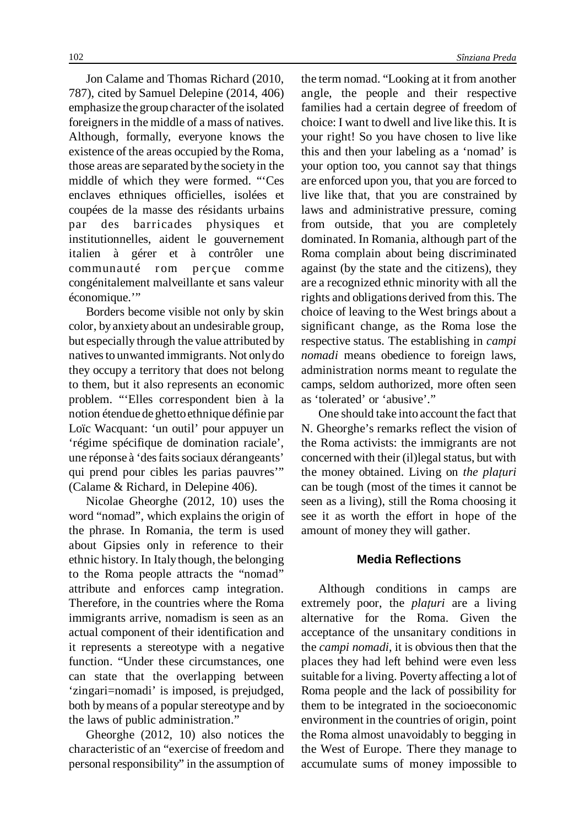Jon Calame and Thomas Richard (2010, 787), cited by Samuel Delepine (2014, 406) emphasize the group character of the isolated foreigners in the middle of a mass of natives. Although, formally, everyone knows the existence of the areas occupied by the Roma, those areas are separated bythe societyin the middle of which they were formed. "'Ces enclaves ethniques officielles, isolées et coupées de la masse des résidants urbains par des barricades physiques et institutionnelles, aident le gouvernement italien à gérer et à contrôler une communauté rom perçue comme congénitalement malveillante et sans valeur économique.'"

Borders become visible not only by skin color, byanxietyabout an undesirable group, but especially through the value attributed by natives to unwanted immigrants. Not only do they occupy a territory that does not belong to them, but it also represents an economic problem. "'Elles correspondent bien à la notion étendue de ghetto ethnique définie par Loïc Wacquant: 'un outil' pour appuyer un 'régime spécifique de domination raciale', une réponse à 'des faits sociaux dérangeants' qui prend pour cibles les parias pauvres'" (Calame & Richard, in Delepine 406).

Nicolae Gheorghe (2012, 10) uses the word "nomad", which explains the origin of the phrase. In Romania, the term is used about Gipsies only in reference to their ethnic history. In Italythough, the belonging to the Roma people attracts the "nomad" attribute and enforces camp integration. Therefore, in the countries where the Roma immigrants arrive, nomadism is seen as an actual component of their identification and it represents a stereotype with a negative function. "Under these circumstances, one can state that the overlapping between 'zingari=nomadi' is imposed, is prejudged, both bymeans of a popular stereotype and by the laws of public administration."

Gheorghe (2012, 10) also notices the characteristic of an "exercise of freedom and personal responsibility" in the assumption of the term nomad. "Looking at it from another angle, the people and their respective families had a certain degree of freedom of choice: I want to dwell and live like this. It is your right! So you have chosen to live like this and then your labeling as a 'nomad' is your option too, you cannot say that things are enforced upon you, that you are forced to live like that, that you are constrained by laws and administrative pressure, coming from outside, that you are completely dominated. In Romania, although part of the Roma complain about being discriminated against (by the state and the citizens), they are a recognized ethnic minority with all the rights and obligations derived from this. The choice of leaving to the West brings about a significant change, as the Roma lose the respective status. The establishing in *campi nomadi* means obedience to foreign laws, administration norms meant to regulate the camps, seldom authorized, more often seen as 'tolerated' or 'abusive'."

One should take into account the fact that N. Gheorghe's remarks reflect the vision of the Roma activists: the immigrants are not concerned with their (il)legal status, but with the money obtained. Living on *the plaţuri* can be tough (most of the times it cannot be seen as a living), still the Roma choosing it see it as worth the effort in hope of the amount of money they will gather.

## **Media Reflections**

Although conditions in camps are extremely poor, the *plaţuri* are a living alternative for the Roma. Given the acceptance of the unsanitary conditions in the *campi nomadi*, it is obvious then that the places they had left behind were even less suitable for a living. Poverty affecting a lot of Roma people and the lack of possibility for them to be integrated in the socioeconomic environment in the countries of origin, point the Roma almost unavoidably to begging in the West of Europe. There they manage to accumulate sums of money impossible to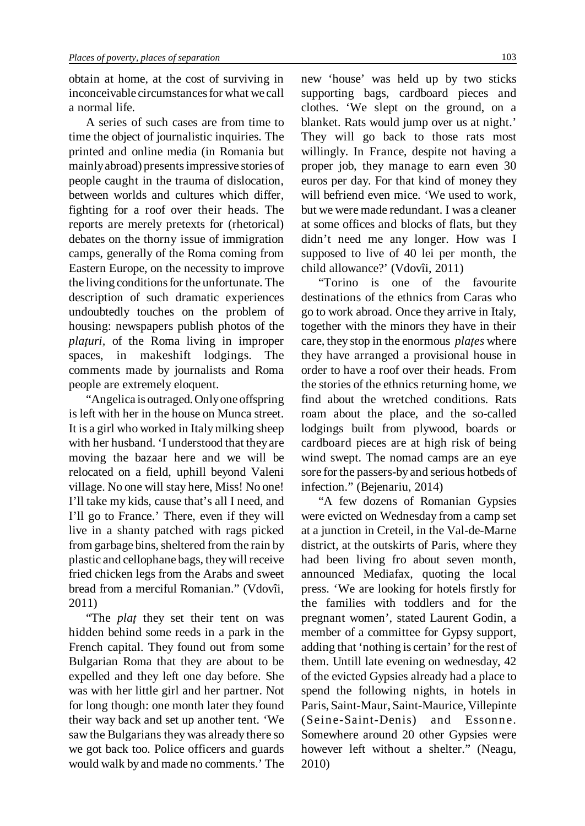obtain at home, at the cost of surviving in inconceivable circumstances for what we call a normal life.

A series of such cases are from time to time the object of journalistic inquiries. The printed and online media (in Romania but mainlyabroad) presentsimpressive stories of people caught in the trauma of dislocation, between worlds and cultures which differ, fighting for a roof over their heads. The reports are merely pretexts for (rhetorical) debates on the thorny issue of immigration camps, generally of the Roma coming from Eastern Europe, on the necessity to improve the living conditionsfor the unfortunate. The description of such dramatic experiences undoubtedly touches on the problem of housing: newspapers publish photos of the *plaţuri,* of the Roma living in improper spaces, in makeshift lodgings. The comments made by journalists and Roma people are extremely eloquent.

"Angelica is outraged. Only one offspring is left with her in the house on Munca street. It is a girl who worked in Italymilking sheep with her husband. 'I understood that they are moving the bazaar here and we will be relocated on a field, uphill beyond Valeni village. No one will stay here, Miss! No one! I'll take my kids, cause that's all I need, and I'll go to France.' There, even if they will live in a shanty patched with rags picked from garbage bins, sheltered from the rain by plastic and cellophane bags, theywill receive fried chicken legs from the Arabs and sweet bread from a merciful Romanian." (Vdovîi, 2011)

"The *plaţ* they set their tent on was hidden behind some reeds in a park in the French capital. They found out from some Bulgarian Roma that they are about to be expelled and they left one day before. She was with her little girl and her partner. Not for long though: one month later they found their way back and set up another tent. 'We saw the Bulgarians they was already there so we got back too. Police officers and guards would walk by and made no comments.' The

new 'house' was held up by two sticks supporting bags, cardboard pieces and clothes. 'We slept on the ground, on a blanket. Rats would jump over us at night.' They will go back to those rats most willingly. In France, despite not having a proper job, they manage to earn even 30 euros per day. For that kind of money they will befriend even mice. 'We used to work, but we were made redundant. I was a cleaner at some offices and blocks of flats, but they didn't need me any longer. How was I supposed to live of 40 lei per month, the child allowance?' (Vdovîi, 2011)

"Torino is one of the favourite destinations of the ethnics from Caras who go to work abroad. Once they arrive in Italy, together with the minors they have in their care, they stop in the enormous *plaţes* where they have arranged a provisional house in order to have a roof over their heads. From the stories of the ethnics returning home, we find about the wretched conditions. Rats roam about the place, and the so-called lodgings built from plywood, boards or cardboard pieces are at high risk of being wind swept. The nomad camps are an eye sore for the passers-by and serious hotbeds of infection." (Bejenariu, 2014)

"A few dozens of Romanian Gypsies were evicted on Wednesday from a camp set at a junction in Creteil, in the Val-de-Marne district, at the outskirts of Paris, where they had been living fro about seven month, announced Mediafax, quoting the local press. 'We are looking for hotels firstly for the families with toddlers and for the pregnant women', stated Laurent Godin, a member of a committee for Gypsy support, adding that 'nothing is certain' for the rest of them. Untill late evening on wednesday, 42 of the evicted Gypsies already had a place to spend the following nights, in hotels in Paris, Saint-Maur, Saint-Maurice, Villepinte (Seine-Saint-Denis) and Essonne. Somewhere around 20 other Gypsies were however left without a shelter." (Neagu, 2010)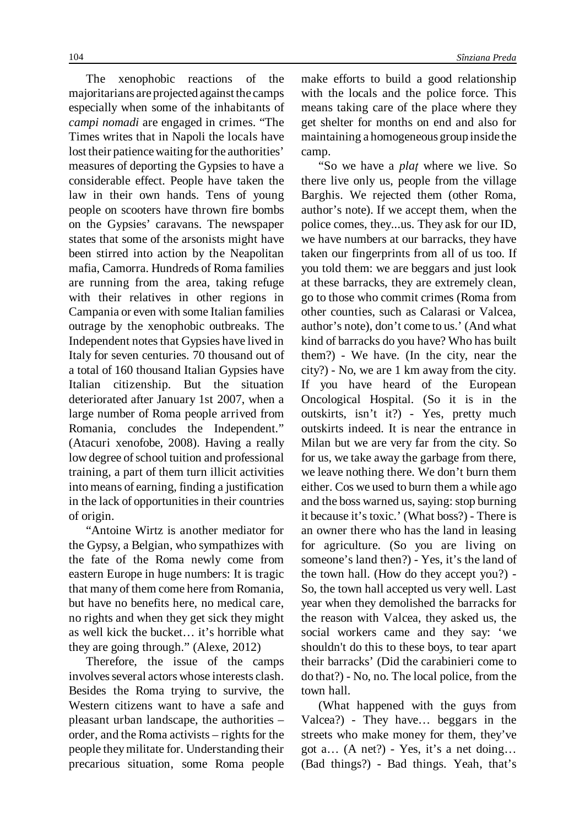The xenophobic reactions of the majoritarians are projected against the camps especially when some of the inhabitants of *campi nomadi* are engaged in crimes. "The Times writes that in Napoli the locals have lost their patience waiting for the authorities' measures of deporting the Gypsies to have a considerable effect. People have taken the law in their own hands. Tens of young people on scooters have thrown fire bombs on the Gypsies' caravans. The newspaper states that some of the arsonists might have been stirred into action by the Neapolitan mafia, Camorra. Hundreds of Roma families are running from the area, taking refuge with their relatives in other regions in Campania or even with some Italian families outrage by the xenophobic outbreaks. The Independent notes that Gypsies have lived in Italy for seven centuries. 70 thousand out of a total of 160 thousand Italian Gypsies have Italian citizenship. But the situation deteriorated after January 1st 2007, when a large number of Roma people arrived from Romania, concludes the Independent." (Atacuri xenofobe, 2008). Having a really low degree of school tuition and professional training, a part of them turn illicit activities into means of earning, finding a justification in the lack of opportunities in their countries of origin.

"Antoine Wirtz is another mediator for the Gypsy, a Belgian, who sympathizes with the fate of the Roma newly come from eastern Europe in huge numbers: It is tragic that many of them come here from Romania, but have no benefits here, no medical care, no rights and when they get sick they might as well kick the bucket… it's horrible what they are going through." (Alexe, 2012)

Therefore, the issue of the camps involves several actors whose interests clash. Besides the Roma trying to survive, the Western citizens want to have a safe and pleasant urban landscape, the authorities – order, and the Roma activists – rights for the people theymilitate for. Understanding their precarious situation, some Roma people make efforts to build a good relationship with the locals and the police force. This means taking care of the place where they get shelter for months on end and also for maintaining a homogeneous group inside the camp.

"So we have a *plaţ* where we live. So there live only us, people from the village Barghis. We rejected them (other Roma, author's note). If we accept them, when the police comes, they...us. They ask for our ID, we have numbers at our barracks, they have taken our fingerprints from all of us too. If you told them: we are beggars and just look at these barracks, they are extremely clean, go to those who commit crimes (Roma from other counties, such as Calarasi or Valcea, author's note), don't come to us.' (And what kind of barracks do you have? Who has built them?) - We have. (In the city, near the city?) - No, we are 1 km away from the city. If you have heard of the European Oncological Hospital. (So it is in the outskirts, isn't it?) - Yes, pretty much outskirts indeed. It is near the entrance in Milan but we are very far from the city. So for us, we take away the garbage from there, we leave nothing there. We don't burn them either. Cos we used to burn them a while ago and the boss warned us, saying: stop burning it because it's toxic.' (What boss?) - There is an owner there who has the land in leasing for agriculture. (So you are living on someone's land then?) - Yes, it's the land of the town hall. (How do they accept you?) - So, the town hall accepted us very well. Last year when they demolished the barracks for the reason with Valcea, they asked us, the social workers came and they say: 'we shouldn't do this to these boys, to tear apart their barracks' (Did the carabinieri come to do that?) - No, no. The local police, from the town hall.

(What happened with the guys from Valcea?) - They have… beggars in the streets who make money for them, they've got a… (A net?) - Yes, it's a net doing… (Bad things?) - Bad things. Yeah, that's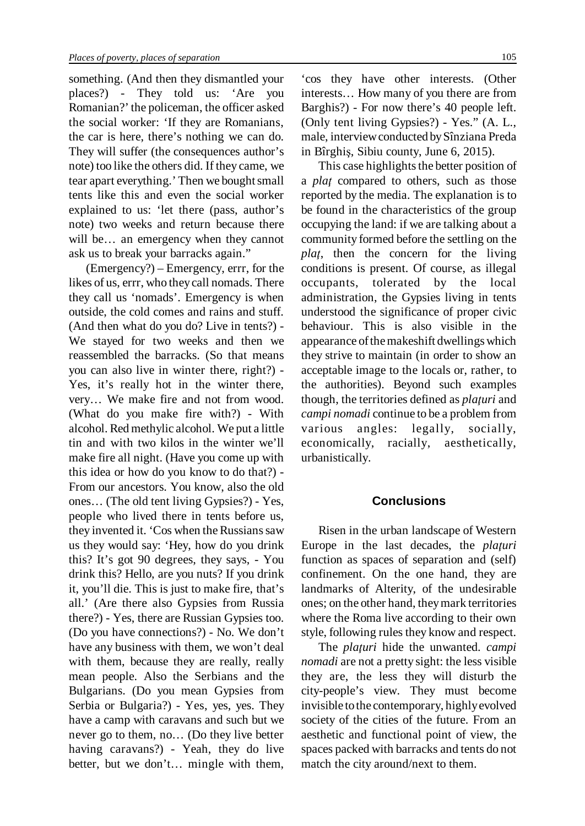something. (And then they dismantled your places?) - They told us: 'Are you Romanian?' the policeman, the officer asked the social worker: 'If they are Romanians, the car is here, there's nothing we can do. They will suffer (the consequences author's note) too like the others did. If they came, we tear apart everything.' Then we bought small tents like this and even the social worker explained to us: 'let there (pass, author's note) two weeks and return because there will be… an emergency when they cannot ask us to break your barracks again."

(Emergency?) – Emergency, errr, for the likes of us, errr, who theycall nomads. There they call us 'nomads'. Emergency is when outside, the cold comes and rains and stuff. (And then what do you do? Live in tents?) - We stayed for two weeks and then we reassembled the barracks. (So that means you can also live in winter there, right?) - Yes, it's really hot in the winter there, very… We make fire and not from wood. (What do you make fire with?) - With alcohol. Red methylic alcohol. We put a little tin and with two kilos in the winter we'll make fire all night. (Have you come up with this idea or how do you know to do that?) - From our ancestors. You know, also the old ones… (The old tent living Gypsies?) - Yes, people who lived there in tents before us, they invented it. 'Cos when the Russians saw us they would say: 'Hey, how do you drink this? It's got 90 degrees, they says, - You drink this? Hello, are you nuts? If you drink it, you'll die. This is just to make fire, that's all.' (Are there also Gypsies from Russia there?) - Yes, there are Russian Gypsies too. (Do you have connections?) - No. We don't have any business with them, we won't deal with them, because they are really, really mean people. Also the Serbians and the Bulgarians. (Do you mean Gypsies from Serbia or Bulgaria?) - Yes, yes, yes. They have a camp with caravans and such but we never go to them, no… (Do they live better having caravans?) - Yeah, they do live better, but we don't… mingle with them,

'cos they have other interests. (Other interests… How many of you there are from Barghis?) - For now there's 40 people left. (Only tent living Gypsies?) - Yes." (A. L., male, interviewconducted bySînziana Preda in Bîrghiş, Sibiu county, June 6, 2015).

This case highlights the better position of a *plaţ* compared to others, such as those reported by the media. The explanation is to be found in the characteristics of the group occupying the land: if we are talking about a community formed before the settling on the *plaţ*, then the concern for the living conditions is present. Of course, as illegal occupants, tolerated by the local administration, the Gypsies living in tents understood the significance of proper civic behaviour. This is also visible in the appearance ofthemakeshift dwellingswhich they strive to maintain (in order to show an acceptable image to the locals or, rather, to the authorities). Beyond such examples though, the territories defined as *plaţuri* and *campi nomadi* continue to be a problem from various angles: legally, socially, economically, racially, aesthetically, urbanistically.

## **Conclusions**

Risen in the urban landscape of Western Europe in the last decades, the *plaţuri* function as spaces of separation and (self) confinement. On the one hand, they are landmarks of Alterity, of the undesirable ones; on the other hand, theymark territories where the Roma live according to their own style, following rules they know and respect.

The *plaţuri* hide the unwanted. *campi nomadi* are not a pretty sight: the less visible they are, the less they will disturb the city-people's view. They must become invisible tothe contemporary, highlyevolved society of the cities of the future. From an aesthetic and functional point of view, the spaces packed with barracks and tents do not match the city around/next to them.